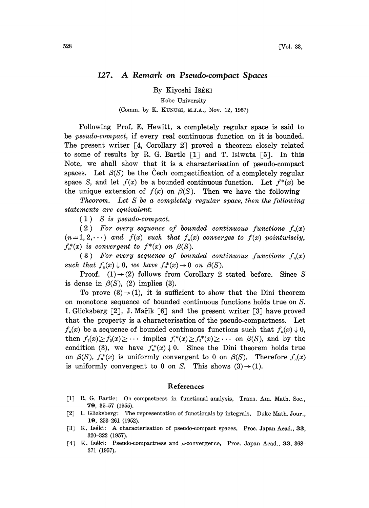## 127. A Remark on Pseudo.compact Spaces

By Kiyoshi ISÉKI

Kobe University

(Comm. by K. KUNUGI, M.J.A., Nov. 12, 1957)

Following Prof. E. Hewitt, a completely regular space is said to be pseudo-compact, if every real continuous function on it is bounded. The present writer  $\lceil 4$ , Corollary 2 proved a theorem closely related to some of results by R. G. Bartle  $\lceil 1 \rceil$  and T. Isiwata  $\lceil 5 \rceil$ . In this Note, we shall show that it is a characterisation of pseudo-compact spaces. Let  $\beta(S)$  be the Cech compactification of a completely regular space S, and let  $f(x)$  be a bounded continuous function. Let  $f^*(x)$  be the unique extension of  $f(x)$  on  $\beta(S)$ . Then we have the following

Theorem. Let S be a completely regular space, then the following statements are equivalent:

 $(1)$  S is pseudo-compact.

 $(2)$  For every sequence of bounded continuous functions  $f_n(x)$  $(n=1, 2, \dots)$  and  $f(x)$  such that  $f_n(x)$  converges to  $f(x)$  pointwisely,  $f_n^*(x)$  is convergent to  $f^*(x)$  on  $\beta(S)$ .

(3) For every sequence of bounded continuous functions  $f_n(x)$ such that  $f_n(x) \downarrow 0$ , we have  $f_n^*(x) \rightarrow 0$  on  $\beta(S)$ .

Proof. (1) $\rightarrow$ (2) follows from Corollary 2 stated before. Since S is dense in  $\beta(S)$ , (2) implies (3).

To prove  $(3) \rightarrow (1)$ , it is sufficient to show that the Dini theorem on monotone sequence of bounded continuous functions holds true on S. I. Glicksberg  $[2]$ , J. Martik  $[6]$  and the present writer  $[3]$  have proved that the property is a characterisation of the pseudo-compactness. Let  $f_n(x)$  be a sequence of bounded continuous functions such that  $f_n(x) \downarrow 0$ , then  $f_1(x) \ge f_2(x) \ge \cdots$  implies  $f_1^*(x) \ge f_2^*(x) \ge \cdots$  on  $\beta(S)$ , and by the condition (3), we have  $f_n^*(x) \downarrow 0$ . Since the Dini theorem holds true on  $\beta(S)$ ,  $f_n^*(x)$  is uniformly convergent to 0 on  $\beta(S)$ . Therefore  $f_n(x)$ is uniformly convergent to 0 on S. This shows  $(3) \rightarrow (1)$ .

## References

- [1] R. G. Bartle: On compactness in functional analysis, Trans. Am. Math. Soc., 79, 35-57 (1955).
- [2] I. Glicksberg: The representation of functionals by integrals, Duke Math. Jour., 19, 253-261 (1952).
- [3] K. Iséki: A characterisation of pseudo-compact spaces, Proc. Japan Acad., 33, 320-322 (1957).
- [4] K. Iséki: Pseudo-compactness and  $\mu$ -convergerce, Proc. Japan Acad., 33, 368-371 (1957),